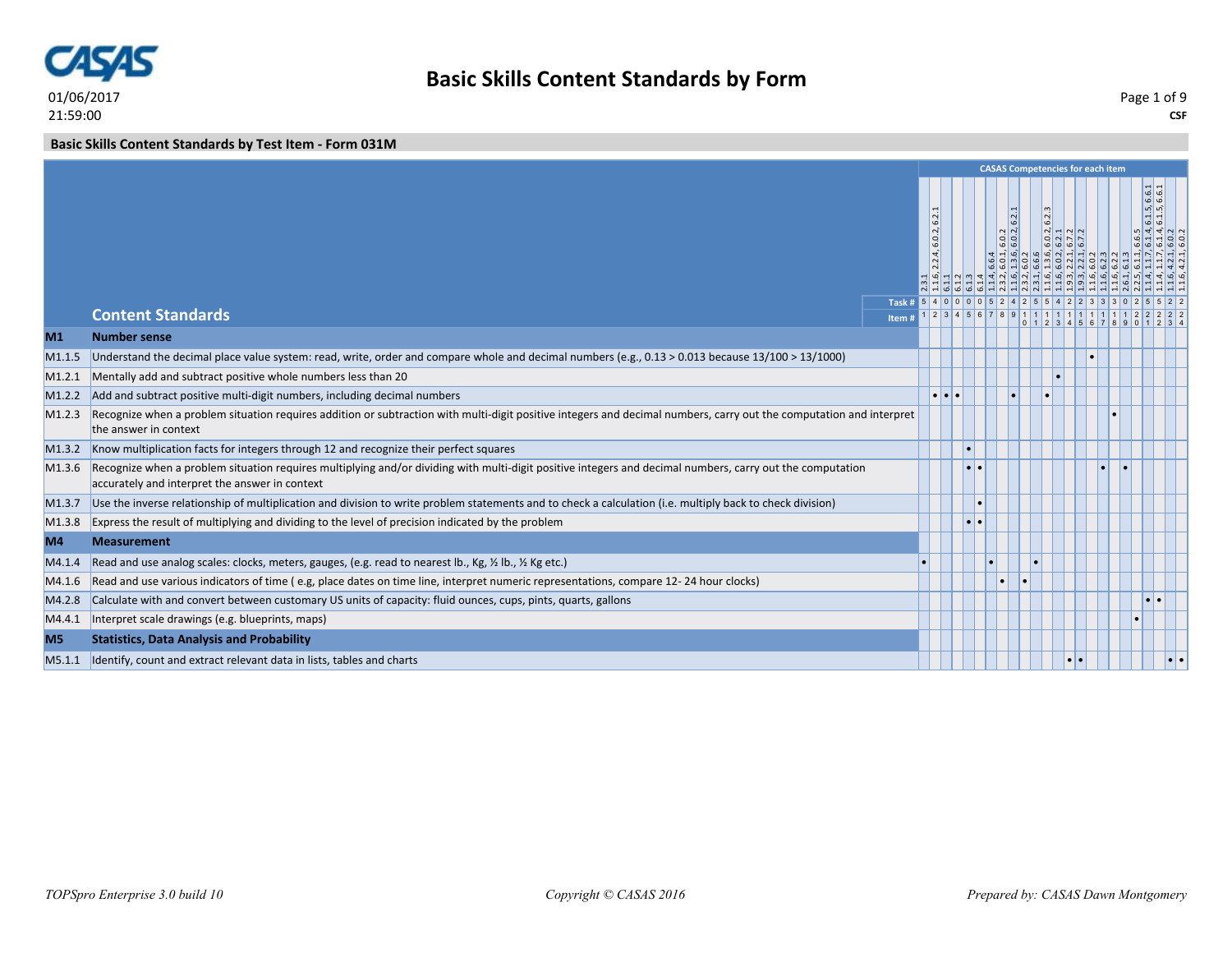

**Basic Skills Content Standards by Test Item - Form 031M**

|                    |                                                                                                                                                                                                             |                |                                               |  | <b>CASAS Competencies for each item</b> |               |               |  |                              |       |
|--------------------|-------------------------------------------------------------------------------------------------------------------------------------------------------------------------------------------------------------|----------------|-----------------------------------------------|--|-----------------------------------------|---------------|---------------|--|------------------------------|-------|
|                    |                                                                                                                                                                                                             |                | 62<br>6.0.2,<br> 4<br>$\overline{\mathsf{N}}$ |  | 6.2.1<br>6.0.2                          | $\frac{2}{3}$ | $\frac{1}{2}$ |  | 6.1.5, 6.6.1<br>6.1.5, 6.6.1 | 4 4 V |
|                    | <b>Content Standards</b>                                                                                                                                                                                    | Task #<br>Item |                                               |  |                                         |               |               |  |                              |       |
| M1                 | <b>Number sense</b>                                                                                                                                                                                         |                |                                               |  |                                         |               |               |  |                              |       |
| M <sub>1.1.5</sub> | Understand the decimal place value system: read, write, order and compare whole and decimal numbers (e.g., 0.13 > 0.013 because 13/100 > 13/1000)                                                           |                |                                               |  |                                         |               |               |  |                              |       |
| M1.2.1             | Mentally add and subtract positive whole numbers less than 20                                                                                                                                               |                |                                               |  |                                         |               |               |  |                              |       |
| M1.2.2             | Add and subtract positive multi-digit numbers, including decimal numbers                                                                                                                                    |                | $\bullet$                                     |  |                                         |               |               |  |                              |       |
| M1.2.3             | Recognize when a problem situation requires addition or subtraction with multi-digit positive integers and decimal numbers, carry out the computation and interpret<br>the answer in context                |                |                                               |  |                                         |               |               |  |                              |       |
| M1.3.2             | Know multiplication facts for integers through 12 and recognize their perfect squares                                                                                                                       |                |                                               |  |                                         |               |               |  |                              |       |
| M1.3.6             | Recognize when a problem situation requires multiplying and/or dividing with multi-digit positive integers and decimal numbers, carry out the computation<br>accurately and interpret the answer in context |                |                                               |  |                                         |               |               |  |                              |       |
| M1.3.7             | Use the inverse relationship of multiplication and division to write problem statements and to check a calculation (i.e. multiply back to check division)                                                   |                |                                               |  |                                         |               |               |  |                              |       |
| M1.3.8             | Express the result of multiplying and dividing to the level of precision indicated by the problem                                                                                                           |                |                                               |  |                                         |               |               |  |                              |       |
| M4                 | <b>Measurement</b>                                                                                                                                                                                          |                |                                               |  |                                         |               |               |  |                              |       |
| M4.1.4             | Read and use analog scales: clocks, meters, gauges, (e.g. read to nearest lb., Kg, 1/2 lb., 1/2 Kg etc.)                                                                                                    |                |                                               |  |                                         |               |               |  |                              |       |
| M4.1.6             | Read and use various indicators of time (e.g, place dates on time line, interpret numeric representations, compare 12-24 hour clocks)                                                                       |                |                                               |  |                                         |               |               |  |                              |       |
| M4.2.8             | Calculate with and convert between customary US units of capacity: fluid ounces, cups, pints, quarts, gallons                                                                                               |                |                                               |  |                                         |               |               |  | $\bullet$                    |       |
| M4.4.1             | Interpret scale drawings (e.g. blueprints, maps)                                                                                                                                                            |                |                                               |  |                                         |               |               |  |                              |       |
| M <sub>5</sub>     | <b>Statistics, Data Analysis and Probability</b>                                                                                                                                                            |                |                                               |  |                                         |               |               |  |                              |       |
| M5.1.1             | Identify, count and extract relevant data in lists, tables and charts                                                                                                                                       |                |                                               |  |                                         |               |               |  |                              |       |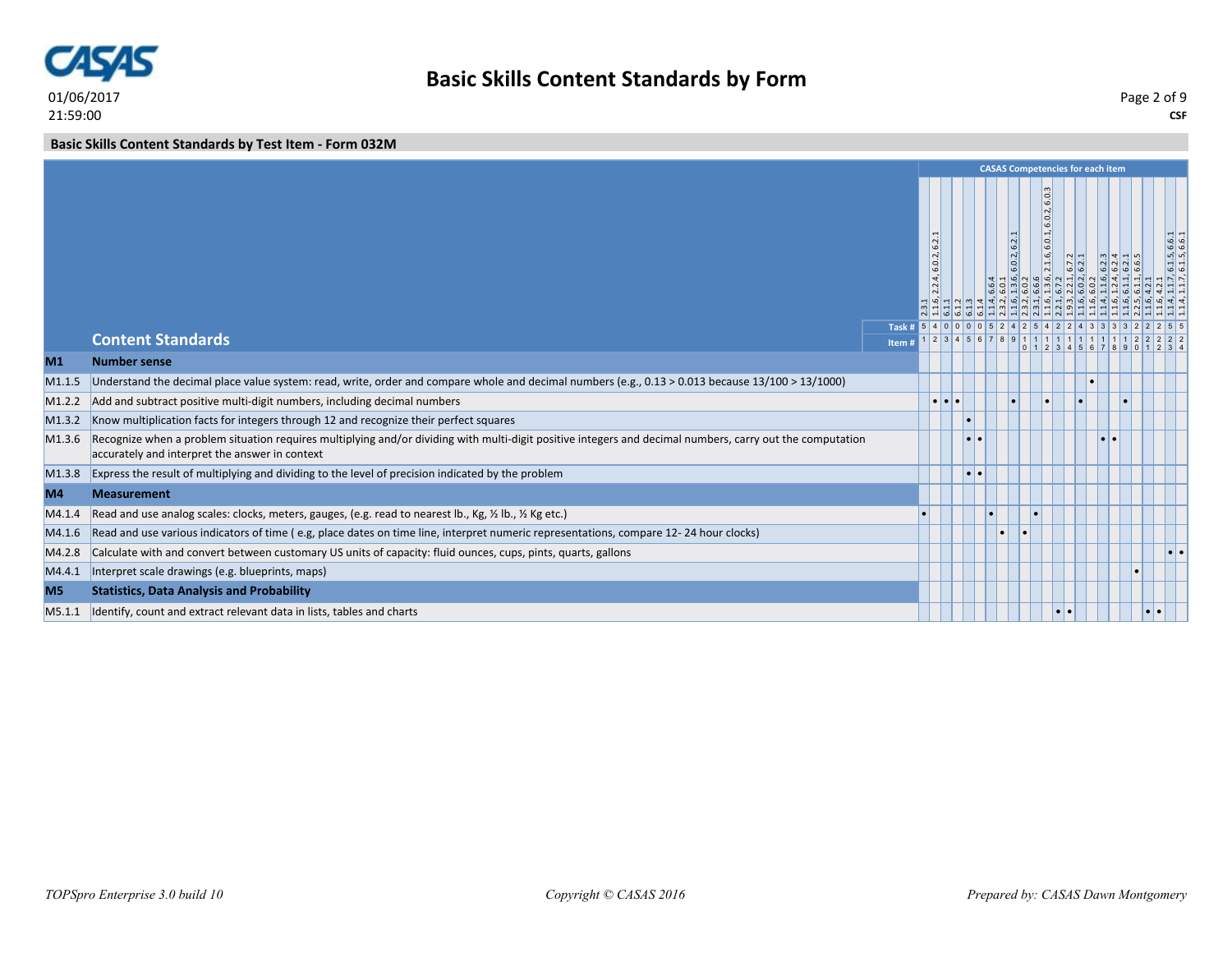

**CSF** Page 2 of 9

**Basic Skills Content Standards by Test Item - Form 032M**

|                |                                                                                                                                                                                                             |                                           |                                         |                         |           |           |              |                                                                               |               | <b>CASAS Competencies for each item</b> |  |                              |
|----------------|-------------------------------------------------------------------------------------------------------------------------------------------------------------------------------------------------------------|-------------------------------------------|-----------------------------------------|-------------------------|-----------|-----------|--------------|-------------------------------------------------------------------------------|---------------|-----------------------------------------|--|------------------------------|
|                |                                                                                                                                                                                                             |                                           | 6.2<br>6.0.2<br> 2.4 <br>$\overline{N}$ |                         |           |           | 6.0.2, 6.2.1 | 0.<br>ا ت<br>$\overline{6.0}$<br>$\sigma$<br>$\rightarrow$<br>$\vert a \vert$ | $\frac{1}{2}$ |                                         |  | 6.1.5, 6.6.1<br>6.1.5, 6.6.1 |
|                | <b>Content Standards</b>                                                                                                                                                                                    | Task # $5$ 4 0 0 0 0 5 2 4 2 5 4<br>Item# |                                         |                         |           |           | 123456789111 |                                                                               |               |                                         |  |                              |
| M <sub>1</sub> | <b>Number sense</b>                                                                                                                                                                                         |                                           |                                         |                         |           |           |              |                                                                               |               |                                         |  |                              |
| M1.1.5         | Understand the decimal place value system: read, write, order and compare whole and decimal numbers (e.g., 0.13 > 0.013 because 13/100 > 13/1000)                                                           |                                           |                                         |                         |           |           |              |                                                                               |               |                                         |  |                              |
| M1.2.2         | Add and subtract positive multi-digit numbers, including decimal numbers                                                                                                                                    |                                           |                                         | $  \bullet   \bullet  $ |           |           |              |                                                                               |               |                                         |  |                              |
| M1.3.2         | Know multiplication facts for integers through 12 and recognize their perfect squares                                                                                                                       |                                           |                                         |                         |           |           |              |                                                                               |               |                                         |  |                              |
| M1.3.6         | Recognize when a problem situation requires multiplying and/or dividing with multi-digit positive integers and decimal numbers, carry out the computation<br>accurately and interpret the answer in context |                                           |                                         |                         |           |           |              |                                                                               |               |                                         |  |                              |
| M1.3.8         | Express the result of multiplying and dividing to the level of precision indicated by the problem                                                                                                           |                                           |                                         |                         | $\bullet$ |           |              |                                                                               |               |                                         |  |                              |
| M4             | <b>Measurement</b>                                                                                                                                                                                          |                                           |                                         |                         |           |           |              |                                                                               |               |                                         |  |                              |
| M4.1.4         | Read and use analog scales: clocks, meters, gauges, (e.g. read to nearest lb., Kg, 1/2 lb., 1/2 Kg etc.)                                                                                                    |                                           |                                         |                         |           |           |              |                                                                               |               |                                         |  |                              |
| M4.1.6         | Read and use various indicators of time (e.g, place dates on time line, interpret numeric representations, compare 12-24 hour clocks)                                                                       |                                           |                                         |                         |           | $\bullet$ |              |                                                                               |               |                                         |  |                              |
| M4.2.8         | Calculate with and convert between customary US units of capacity: fluid ounces, cups, pints, quarts, gallons                                                                                               |                                           |                                         |                         |           |           |              |                                                                               |               |                                         |  |                              |
| M4.4.1         | Interpret scale drawings (e.g. blueprints, maps)                                                                                                                                                            |                                           |                                         |                         |           |           |              |                                                                               |               |                                         |  |                              |
| M <sub>5</sub> | <b>Statistics, Data Analysis and Probability</b>                                                                                                                                                            |                                           |                                         |                         |           |           |              |                                                                               |               |                                         |  |                              |
| M5.1.1         | Identify, count and extract relevant data in lists, tables and charts                                                                                                                                       |                                           |                                         |                         |           |           |              |                                                                               | le la         |                                         |  |                              |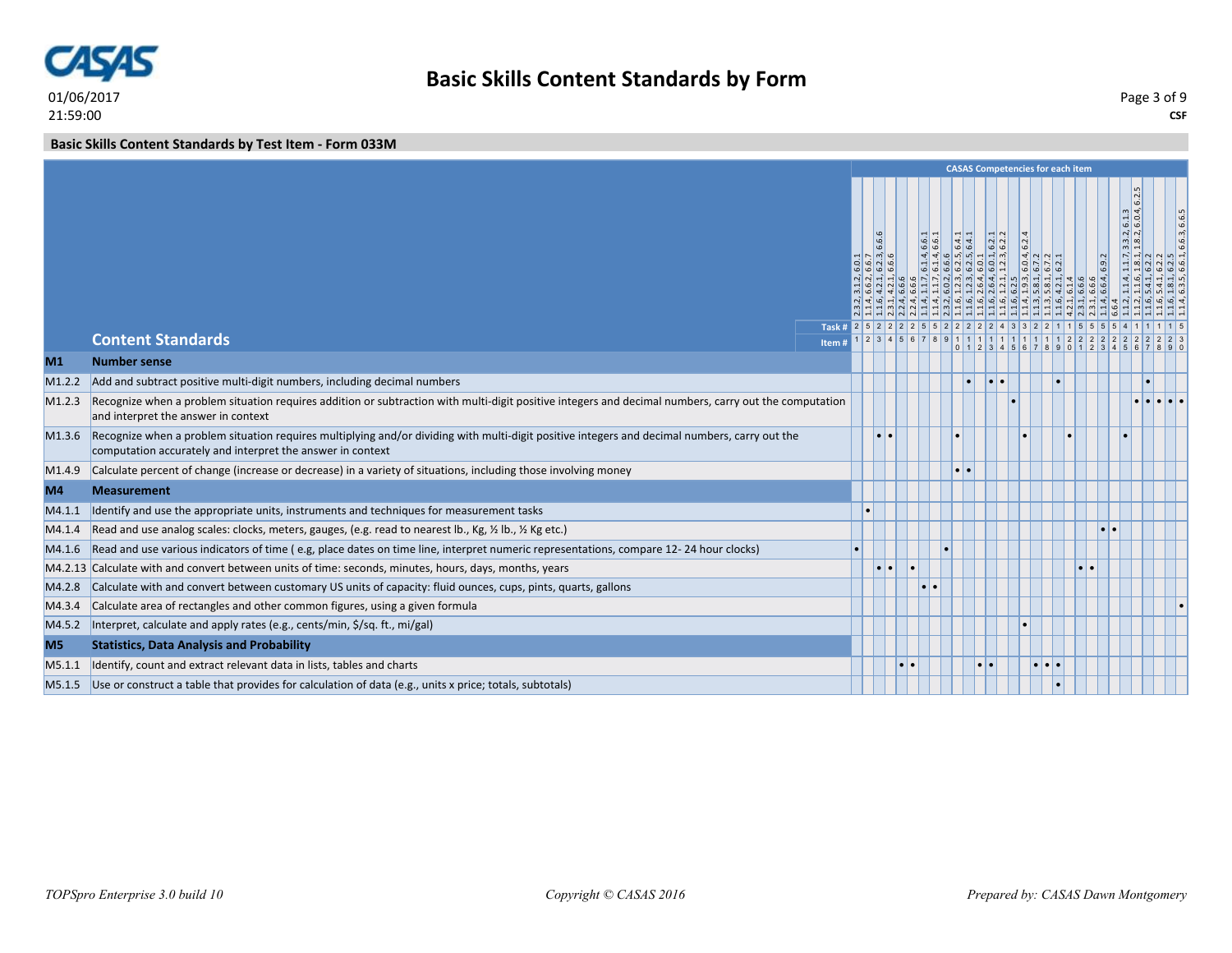

**CSF** Page 3 of 9

**Basic Skills Content Standards by Test Item - Form 033M**

|                |                                                                                                                                                                                                             |                                     |                    |  |                               |           |                   |                                          | <b>CASAS Competencies for each item</b>                |                 |                     |                                                                                          |              |
|----------------|-------------------------------------------------------------------------------------------------------------------------------------------------------------------------------------------------------------|-------------------------------------|--------------------|--|-------------------------------|-----------|-------------------|------------------------------------------|--------------------------------------------------------|-----------------|---------------------|------------------------------------------------------------------------------------------|--------------|
|                |                                                                                                                                                                                                             |                                     | 6.6.6<br>~   ന്  ഥ |  | $\frac{d}{64}$<br>$n \log  4$ | N         | $-1 \omega$<br> 0 | 6.2<br>ا ما ما                           | $\frac{d}{d}$ $\frac{d}{d}$ $\frac{d}{d}$<br>$0n$ $0n$ |                 | $\frac{9}{6}$       | $\frac{1}{6}$<br>6.1.3<br>$\left  \frac{3}{2}, \frac{2}{2} \right $<br>$m$ $1$<br>$\sim$ | 6.6.3, 6.6.5 |
|                | <b>Content Standards</b>                                                                                                                                                                                    | Task # 2 5 2 2 2 2 5 5 2 2<br>Item# |                    |  |                               |           |                   | $1 2 3 4 5 6 7 8 9 1 1 1 1 1 1 1 1 11 1$ |                                                        | $\vert 2 \vert$ |                     |                                                                                          |              |
| M <sub>1</sub> | <b>Number sense</b>                                                                                                                                                                                         |                                     |                    |  |                               |           |                   |                                          | 1234567890                                             |                 |                     |                                                                                          |              |
| M1.2.2         | Add and subtract positive multi-digit numbers, including decimal numbers                                                                                                                                    |                                     |                    |  |                               | I۰        |                   |                                          |                                                        |                 |                     |                                                                                          |              |
| M1.2.3         | Recognize when a problem situation requires addition or subtraction with multi-digit positive integers and decimal numbers, carry out the computation<br>and interpret the answer in context                |                                     |                    |  |                               |           |                   |                                          |                                                        |                 |                     |                                                                                          |              |
| M1.3.6         | Recognize when a problem situation requires multiplying and/or dividing with multi-digit positive integers and decimal numbers, carry out the<br>computation accurately and interpret the answer in context |                                     | $\bullet$          |  |                               |           |                   |                                          |                                                        |                 |                     |                                                                                          |              |
| M1.4.9         | Calculate percent of change (increase or decrease) in a variety of situations, including those involving money                                                                                              |                                     |                    |  |                               |           |                   |                                          |                                                        |                 |                     |                                                                                          |              |
| M4             | <b>Measurement</b>                                                                                                                                                                                          |                                     |                    |  |                               |           |                   |                                          |                                                        |                 |                     |                                                                                          |              |
| M4.1.1         | Identify and use the appropriate units, instruments and techniques for measurement tasks                                                                                                                    |                                     |                    |  |                               |           |                   |                                          |                                                        |                 |                     |                                                                                          |              |
| MA.1.4         | Read and use analog scales: clocks, meters, gauges, (e.g. read to nearest lb., Kg, 1/2 lb., 1/2 Kg etc.)                                                                                                    |                                     |                    |  |                               |           |                   |                                          |                                                        |                 | $\bullet$ $\bullet$ |                                                                                          |              |
| M4.1.6         | Read and use various indicators of time (e.g, place dates on time line, interpret numeric representations, compare 12-24 hour clocks)                                                                       |                                     |                    |  |                               |           |                   |                                          |                                                        |                 |                     |                                                                                          |              |
|                | M4.2.13 Calculate with and convert between units of time: seconds, minutes, hours, days, months, years                                                                                                      |                                     |                    |  |                               |           |                   |                                          |                                                        |                 |                     |                                                                                          |              |
| M4.2.8         | Calculate with and convert between customary US units of capacity: fluid ounces, cups, pints, quarts, gallons                                                                                               |                                     |                    |  |                               |           |                   |                                          |                                                        |                 |                     |                                                                                          |              |
| M4.3.4         | Calculate area of rectangles and other common figures, using a given formula                                                                                                                                |                                     |                    |  |                               |           |                   |                                          |                                                        |                 |                     |                                                                                          |              |
| M4.5.2         | Interpret, calculate and apply rates (e.g., cents/min, \$/sq. ft., mi/gal)                                                                                                                                  |                                     |                    |  |                               |           |                   |                                          |                                                        |                 |                     |                                                                                          |              |
| M <sub>5</sub> | <b>Statistics, Data Analysis and Probability</b>                                                                                                                                                            |                                     |                    |  |                               |           |                   |                                          |                                                        |                 |                     |                                                                                          |              |
| M5.1.1         | Identify, count and extract relevant data in lists, tables and charts                                                                                                                                       |                                     |                    |  |                               | $\bullet$ |                   |                                          | $\bullet$ $\bullet$ $\bullet$                          |                 |                     |                                                                                          |              |
|                | M5.1.5 Use or construct a table that provides for calculation of data (e.g., units x price; totals, subtotals)                                                                                              |                                     |                    |  |                               |           |                   |                                          |                                                        |                 |                     |                                                                                          |              |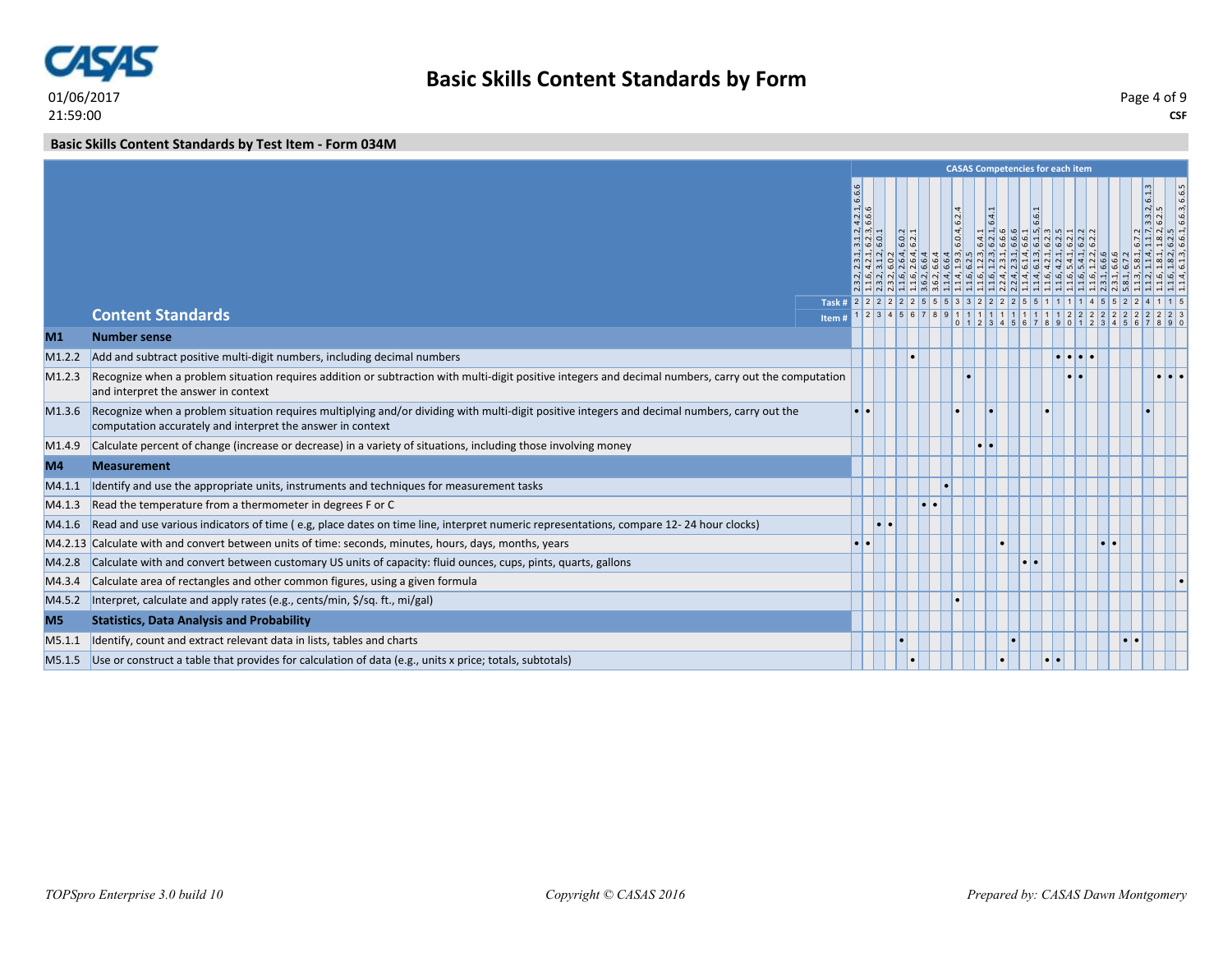

**CSF** Page 4 of 9

**Basic Skills Content Standards by Test Item - Form 034M**

|                                                                                                                                                                                                                                                                                                                                                                                                                                                                                                                                                                                                                                                                                                                                                                                                                                                                                                                                                                                                                                                                                                                                                                                                                                                                                                                                                                                                                                                                            |                                                                                                                                                                |                |                                                                        |              |                                                  |                     |               |                                                                                                                                                                                |                                                                                                                                                                                                                                                                                                 | 6.6.3, 6.6.5                                                                                                                                                                                                         |
|----------------------------------------------------------------------------------------------------------------------------------------------------------------------------------------------------------------------------------------------------------------------------------------------------------------------------------------------------------------------------------------------------------------------------------------------------------------------------------------------------------------------------------------------------------------------------------------------------------------------------------------------------------------------------------------------------------------------------------------------------------------------------------------------------------------------------------------------------------------------------------------------------------------------------------------------------------------------------------------------------------------------------------------------------------------------------------------------------------------------------------------------------------------------------------------------------------------------------------------------------------------------------------------------------------------------------------------------------------------------------------------------------------------------------------------------------------------------------|----------------------------------------------------------------------------------------------------------------------------------------------------------------|----------------|------------------------------------------------------------------------|--------------|--------------------------------------------------|---------------------|---------------|--------------------------------------------------------------------------------------------------------------------------------------------------------------------------------|-------------------------------------------------------------------------------------------------------------------------------------------------------------------------------------------------------------------------------------------------------------------------------------------------|----------------------------------------------------------------------------------------------------------------------------------------------------------------------------------------------------------------------|
|                                                                                                                                                                                                                                                                                                                                                                                                                                                                                                                                                                                                                                                                                                                                                                                                                                                                                                                                                                                                                                                                                                                                                                                                                                                                                                                                                                                                                                                                            |                                                                                                                                                                |                |                                                                        |              |                                                  |                     |               |                                                                                                                                                                                |                                                                                                                                                                                                                                                                                                 |                                                                                                                                                                                                                      |
|                                                                                                                                                                                                                                                                                                                                                                                                                                                                                                                                                                                                                                                                                                                                                                                                                                                                                                                                                                                                                                                                                                                                                                                                                                                                                                                                                                                                                                                                            |                                                                                                                                                                |                |                                                                        |              |                                                  |                     |               |                                                                                                                                                                                |                                                                                                                                                                                                                                                                                                 |                                                                                                                                                                                                                      |
|                                                                                                                                                                                                                                                                                                                                                                                                                                                                                                                                                                                                                                                                                                                                                                                                                                                                                                                                                                                                                                                                                                                                                                                                                                                                                                                                                                                                                                                                            |                                                                                                                                                                |                |                                                                        |              |                                                  |                     |               |                                                                                                                                                                                |                                                                                                                                                                                                                                                                                                 |                                                                                                                                                                                                                      |
|                                                                                                                                                                                                                                                                                                                                                                                                                                                                                                                                                                                                                                                                                                                                                                                                                                                                                                                                                                                                                                                                                                                                                                                                                                                                                                                                                                                                                                                                            |                                                                                                                                                                |                |                                                                        |              |                                                  |                     |               |                                                                                                                                                                                |                                                                                                                                                                                                                                                                                                 |                                                                                                                                                                                                                      |
|                                                                                                                                                                                                                                                                                                                                                                                                                                                                                                                                                                                                                                                                                                                                                                                                                                                                                                                                                                                                                                                                                                                                                                                                                                                                                                                                                                                                                                                                            |                                                                                                                                                                |                |                                                                        |              |                                                  |                     |               |                                                                                                                                                                                |                                                                                                                                                                                                                                                                                                 |                                                                                                                                                                                                                      |
|                                                                                                                                                                                                                                                                                                                                                                                                                                                                                                                                                                                                                                                                                                                                                                                                                                                                                                                                                                                                                                                                                                                                                                                                                                                                                                                                                                                                                                                                            |                                                                                                                                                                |                |                                                                        |              |                                                  |                     |               |                                                                                                                                                                                |                                                                                                                                                                                                                                                                                                 |                                                                                                                                                                                                                      |
|                                                                                                                                                                                                                                                                                                                                                                                                                                                                                                                                                                                                                                                                                                                                                                                                                                                                                                                                                                                                                                                                                                                                                                                                                                                                                                                                                                                                                                                                            |                                                                                                                                                                |                |                                                                        |              |                                                  |                     |               |                                                                                                                                                                                |                                                                                                                                                                                                                                                                                                 |                                                                                                                                                                                                                      |
|                                                                                                                                                                                                                                                                                                                                                                                                                                                                                                                                                                                                                                                                                                                                                                                                                                                                                                                                                                                                                                                                                                                                                                                                                                                                                                                                                                                                                                                                            |                                                                                                                                                                |                |                                                                        |              |                                                  |                     |               |                                                                                                                                                                                |                                                                                                                                                                                                                                                                                                 |                                                                                                                                                                                                                      |
|                                                                                                                                                                                                                                                                                                                                                                                                                                                                                                                                                                                                                                                                                                                                                                                                                                                                                                                                                                                                                                                                                                                                                                                                                                                                                                                                                                                                                                                                            |                                                                                                                                                                |                |                                                                        |              |                                                  |                     |               |                                                                                                                                                                                |                                                                                                                                                                                                                                                                                                 |                                                                                                                                                                                                                      |
|                                                                                                                                                                                                                                                                                                                                                                                                                                                                                                                                                                                                                                                                                                                                                                                                                                                                                                                                                                                                                                                                                                                                                                                                                                                                                                                                                                                                                                                                            |                                                                                                                                                                |                |                                                                        |              |                                                  |                     |               |                                                                                                                                                                                |                                                                                                                                                                                                                                                                                                 |                                                                                                                                                                                                                      |
|                                                                                                                                                                                                                                                                                                                                                                                                                                                                                                                                                                                                                                                                                                                                                                                                                                                                                                                                                                                                                                                                                                                                                                                                                                                                                                                                                                                                                                                                            |                                                                                                                                                                |                |                                                                        |              |                                                  |                     |               | $\bullet\bullet$                                                                                                                                                               |                                                                                                                                                                                                                                                                                                 |                                                                                                                                                                                                                      |
|                                                                                                                                                                                                                                                                                                                                                                                                                                                                                                                                                                                                                                                                                                                                                                                                                                                                                                                                                                                                                                                                                                                                                                                                                                                                                                                                                                                                                                                                            |                                                                                                                                                                |                |                                                                        |              |                                                  |                     |               |                                                                                                                                                                                |                                                                                                                                                                                                                                                                                                 |                                                                                                                                                                                                                      |
|                                                                                                                                                                                                                                                                                                                                                                                                                                                                                                                                                                                                                                                                                                                                                                                                                                                                                                                                                                                                                                                                                                                                                                                                                                                                                                                                                                                                                                                                            |                                                                                                                                                                |                |                                                                        |              |                                                  |                     |               |                                                                                                                                                                                |                                                                                                                                                                                                                                                                                                 |                                                                                                                                                                                                                      |
|                                                                                                                                                                                                                                                                                                                                                                                                                                                                                                                                                                                                                                                                                                                                                                                                                                                                                                                                                                                                                                                                                                                                                                                                                                                                                                                                                                                                                                                                            |                                                                                                                                                                |                |                                                                        |              |                                                  |                     |               |                                                                                                                                                                                |                                                                                                                                                                                                                                                                                                 |                                                                                                                                                                                                                      |
|                                                                                                                                                                                                                                                                                                                                                                                                                                                                                                                                                                                                                                                                                                                                                                                                                                                                                                                                                                                                                                                                                                                                                                                                                                                                                                                                                                                                                                                                            |                                                                                                                                                                |                |                                                                        |              |                                                  |                     |               |                                                                                                                                                                                |                                                                                                                                                                                                                                                                                                 |                                                                                                                                                                                                                      |
|                                                                                                                                                                                                                                                                                                                                                                                                                                                                                                                                                                                                                                                                                                                                                                                                                                                                                                                                                                                                                                                                                                                                                                                                                                                                                                                                                                                                                                                                            |                                                                                                                                                                |                |                                                                        |              |                                                  |                     |               |                                                                                                                                                                                |                                                                                                                                                                                                                                                                                                 |                                                                                                                                                                                                                      |
|                                                                                                                                                                                                                                                                                                                                                                                                                                                                                                                                                                                                                                                                                                                                                                                                                                                                                                                                                                                                                                                                                                                                                                                                                                                                                                                                                                                                                                                                            |                                                                                                                                                                |                |                                                                        |              |                                                  |                     |               |                                                                                                                                                                                |                                                                                                                                                                                                                                                                                                 |                                                                                                                                                                                                                      |
| <b>Content Standards</b><br><b>Number sense</b><br>Add and subtract positive multi-digit numbers, including decimal numbers<br>and interpret the answer in context<br>Recognize when a problem situation requires multiplying and/or dividing with multi-digit positive integers and decimal numbers, carry out the<br>computation accurately and interpret the answer in context<br>M1.4.9 Calculate percent of change (increase or decrease) in a variety of situations, including those involving money<br><b>Measurement</b><br>Identify and use the appropriate units, instruments and techniques for measurement tasks<br>Read the temperature from a thermometer in degrees F or C<br>Read and use various indicators of time (e.g, place dates on time line, interpret numeric representations, compare 12-24 hour clocks)<br>M4.2.13 Calculate with and convert between units of time: seconds, minutes, hours, days, months, years<br>Calculate with and convert between customary US units of capacity: fluid ounces, cups, pints, quarts, gallons<br>Calculate area of rectangles and other common figures, using a given formula<br>Interpret, calculate and apply rates (e.g., cents/min, \$/sq. ft., mi/gal)<br><b>Statistics, Data Analysis and Probability</b><br>Identify, count and extract relevant data in lists, tables and charts<br>M5.1.5 Use or construct a table that provides for calculation of data (e.g., units x price; totals, subtotals) | Item#<br>Recognize when a problem situation requires addition or subtraction with multi-digit positive integers and decimal numbers, carry out the computation | 6.6.6<br>$-10$ | $\frac{1}{2}$ $\frac{1}{2}$ $\frac{1}{2}$<br><u>ial al</u><br>നി ഥി ഥി | ೦ ನ<br>ه اها | 6.2.4<br>6.0.4,<br><u>न न जलब ब ब ब ब ज</u> ले ए | $\bullet$ $\bullet$ | $\frac{1}{6}$ | <b>CASAS Competencies for each item</b><br>  ق  ق  ق  ق  ق  ق  ق  ق  ق  ق  ق  ق<br>$1 \ 2 \ 3 \ 4 \ 5 \ 6 \ 7 \ 8 \ 9 \ 1 \ 1 \ 1 \ 1 \ 1 \ 1 \ 1 \ 1 \ 1 \ 1 \ 1 \ 2 \ 2 \ 2$ | $\frac{1}{4}$ $\frac{1}{4}$ $\frac{1}{4}$ $\frac{1}{9}$ $\frac{1}{9}$ $\frac{1}{9}$ $\frac{1}{1}$ $\frac{1}{2}$ $\frac{1}{2}$ $\frac{1}{2}$ $\frac{1}{2}$ $\frac{1}{2}$ $\frac{1}{2}$ $\frac{1}{2}$ $\frac{1}{2}$ $\frac{1}{2}$ $\frac{1}{2}$<br>$0$ 1 2 3 4 5 6 7 8 9 0 1 2 3 4 5<br>$\bullet$ | 3.3.2, 6.1.3<br>$\frac{1}{2}$ $\frac{1}{2}$ $\frac{1}{2}$ $\frac{1}{2}$ $\frac{1}{2}$ $\frac{1}{2}$<br>$\frac{1}{2}$ d $\frac{1}{2}$ d $\frac{1}{2}$<br>Task # 2 2 2 2 2 2 3 5 5 3 3 2 2 2 2 5 5 1 1 1 1 4 5 5 2 2 4 |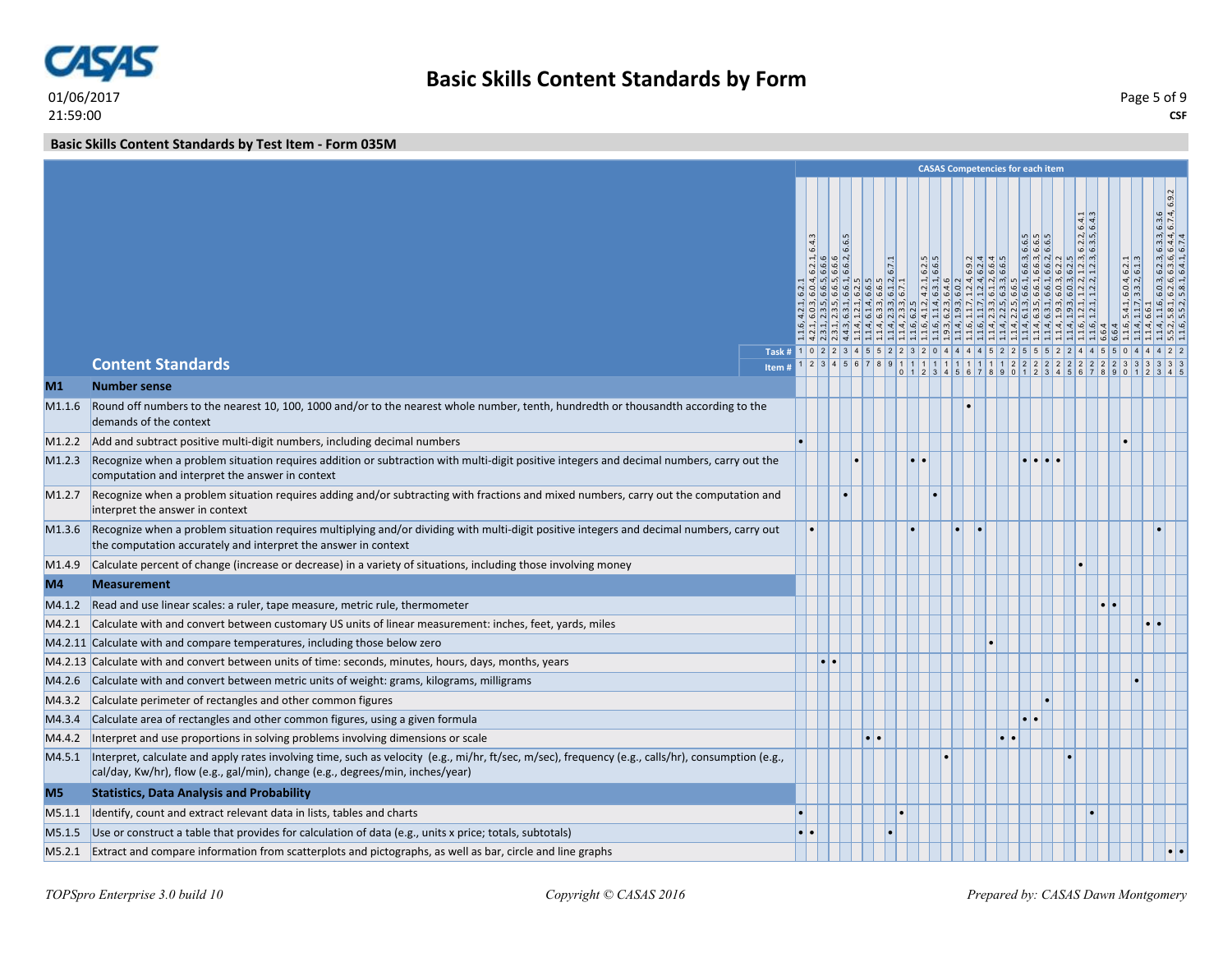

**Basic Skills Content Standards by Test Item - Form 035M**

|                    |                                                                                                                                                                                                                                      |                                                    |       |                                                                                                                                                                                                                                                                                                                                                                                    |  |       |                                                                                 |  |                                                                                                                                                       | <b>CASAS Competencies for each item</b>  |                                                    |                     |                                                                                                                                                               |
|--------------------|--------------------------------------------------------------------------------------------------------------------------------------------------------------------------------------------------------------------------------------|----------------------------------------------------|-------|------------------------------------------------------------------------------------------------------------------------------------------------------------------------------------------------------------------------------------------------------------------------------------------------------------------------------------------------------------------------------------|--|-------|---------------------------------------------------------------------------------|--|-------------------------------------------------------------------------------------------------------------------------------------------------------|------------------------------------------|----------------------------------------------------|---------------------|---------------------------------------------------------------------------------------------------------------------------------------------------------------|
|                    |                                                                                                                                                                                                                                      | Task # 1 0 2 2 3 4 5 5 2 2 3 2 0 4 4 4 5 2 2 5 5 5 | 6.4.3 | $\left  \frac{1}{2} \right $ $\left  \frac{1}{2} \right $ $\left  \frac{1}{2} \right $ $\left  \frac{1}{2} \right $<br>$  \phi   \phi   \phi  $<br>$\frac{d}{d} \left  \frac{d}{d} \right  \left  \frac{d}{d} \right  \left  \frac{d}{d} \right  \left  \frac{d}{d} \right  \left  \frac{d}{d} \right  \left  \frac{d}{d} \right  \left  \frac{d}{d} \right $<br><u>4499444444</u> |  | 6.7.1 | n <sub>n</sub><br>$ N \phi $<br>$ \dot{\omega} $ $ \dot{\omega} $<br>$ 4 $ ဖြစ် |  | $\left  \begin{array}{c} 0 \\ 0 \\ 1 \end{array} \right $ $\left  \begin{array}{c} 0 \\ 0 \\ 0 \end{array} \right $<br>$  \omega   \omega   \omega  $ | w w w <br>$  \omega   \omega   \omega  $ | 64.3<br>$6.2.2$ , 6.3.5,<br>ഗ $\mid w \mid w \mid$ | ا ما اما            | $6.3.6$<br>$6.7.4, 6.9.2$<br>$\frac{6.3.3}{6.4.4}$<br>$ \omega $ ದ $  \rightarrow$<br>$\frac{1}{6}$ $\frac{1}{6}$ $\frac{1}{4}$<br>$6.03$<br>$6.26$<br>$5.81$ |
|                    | <b>Content Standards</b>                                                                                                                                                                                                             |                                                    |       |                                                                                                                                                                                                                                                                                                                                                                                    |  |       |                                                                                 |  | 9111111111111111222<br>1 2 3 4 5 6 7 8 9 0 1 2                                                                                                        |                                          |                                                    |                     |                                                                                                                                                               |
| M1                 | <b>Number sense</b>                                                                                                                                                                                                                  |                                                    |       |                                                                                                                                                                                                                                                                                                                                                                                    |  |       |                                                                                 |  |                                                                                                                                                       |                                          |                                                    |                     |                                                                                                                                                               |
| M <sub>1.1.6</sub> | Round off numbers to the nearest 10, 100, 1000 and/or to the nearest whole number, tenth, hundredth or thousandth according to the<br>demands of the context                                                                         |                                                    |       |                                                                                                                                                                                                                                                                                                                                                                                    |  |       |                                                                                 |  |                                                                                                                                                       |                                          |                                                    |                     |                                                                                                                                                               |
| M1.2.2             | Add and subtract positive multi-digit numbers, including decimal numbers                                                                                                                                                             |                                                    |       |                                                                                                                                                                                                                                                                                                                                                                                    |  |       |                                                                                 |  |                                                                                                                                                       |                                          |                                                    |                     |                                                                                                                                                               |
| M1.2.3             | Recognize when a problem situation requires addition or subtraction with multi-digit positive integers and decimal numbers, carry out the<br>computation and interpret the answer in context                                         |                                                    |       |                                                                                                                                                                                                                                                                                                                                                                                    |  |       |                                                                                 |  |                                                                                                                                                       |                                          |                                                    |                     |                                                                                                                                                               |
| M1.2.7             | Recognize when a problem situation requires adding and/or subtracting with fractions and mixed numbers, carry out the computation and<br>interpret the answer in context                                                             |                                                    |       |                                                                                                                                                                                                                                                                                                                                                                                    |  |       |                                                                                 |  |                                                                                                                                                       |                                          |                                                    |                     |                                                                                                                                                               |
| M1.3.6             | Recognize when a problem situation requires multiplying and/or dividing with multi-digit positive integers and decimal numbers, carry out<br>the computation accurately and interpret the answer in context                          |                                                    |       |                                                                                                                                                                                                                                                                                                                                                                                    |  |       |                                                                                 |  |                                                                                                                                                       |                                          |                                                    |                     |                                                                                                                                                               |
| M1.4.9             | Calculate percent of change (increase or decrease) in a variety of situations, including those involving money                                                                                                                       |                                                    |       |                                                                                                                                                                                                                                                                                                                                                                                    |  |       |                                                                                 |  |                                                                                                                                                       |                                          |                                                    |                     |                                                                                                                                                               |
| M4                 | <b>Measurement</b>                                                                                                                                                                                                                   |                                                    |       |                                                                                                                                                                                                                                                                                                                                                                                    |  |       |                                                                                 |  |                                                                                                                                                       |                                          |                                                    |                     |                                                                                                                                                               |
| M4.1.2             | Read and use linear scales: a ruler, tape measure, metric rule, thermometer                                                                                                                                                          |                                                    |       |                                                                                                                                                                                                                                                                                                                                                                                    |  |       |                                                                                 |  |                                                                                                                                                       |                                          |                                                    |                     |                                                                                                                                                               |
| M4.2.1             | Calculate with and convert between customary US units of linear measurement: inches, feet, yards, miles                                                                                                                              |                                                    |       |                                                                                                                                                                                                                                                                                                                                                                                    |  |       |                                                                                 |  |                                                                                                                                                       |                                          |                                                    | $\bullet$ $\bullet$ |                                                                                                                                                               |
|                    | M4.2.11 Calculate with and compare temperatures, including those below zero                                                                                                                                                          |                                                    |       |                                                                                                                                                                                                                                                                                                                                                                                    |  |       |                                                                                 |  |                                                                                                                                                       |                                          |                                                    |                     |                                                                                                                                                               |
|                    | M4.2.13 Calculate with and convert between units of time: seconds, minutes, hours, days, months, years                                                                                                                               |                                                    |       |                                                                                                                                                                                                                                                                                                                                                                                    |  |       |                                                                                 |  |                                                                                                                                                       |                                          |                                                    |                     |                                                                                                                                                               |
| M4.2.6             | Calculate with and convert between metric units of weight: grams, kilograms, milligrams                                                                                                                                              |                                                    |       |                                                                                                                                                                                                                                                                                                                                                                                    |  |       |                                                                                 |  |                                                                                                                                                       |                                          |                                                    |                     |                                                                                                                                                               |
| M4.3.2             | Calculate perimeter of rectangles and other common figures                                                                                                                                                                           |                                                    |       |                                                                                                                                                                                                                                                                                                                                                                                    |  |       |                                                                                 |  |                                                                                                                                                       |                                          |                                                    |                     |                                                                                                                                                               |
| M4.3.4             | Calculate area of rectangles and other common figures, using a given formula                                                                                                                                                         |                                                    |       |                                                                                                                                                                                                                                                                                                                                                                                    |  |       |                                                                                 |  |                                                                                                                                                       |                                          |                                                    |                     |                                                                                                                                                               |
| M4.4.2             | Interpret and use proportions in solving problems involving dimensions or scale                                                                                                                                                      |                                                    |       |                                                                                                                                                                                                                                                                                                                                                                                    |  |       |                                                                                 |  |                                                                                                                                                       |                                          |                                                    |                     |                                                                                                                                                               |
| M4.5.1             | Interpret, calculate and apply rates involving time, such as velocity (e.g., mi/hr, ft/sec, m/sec), frequency (e.g., calls/hr), consumption (e.g.,<br>cal/day, Kw/hr), flow (e.g., gal/min), change (e.g., degrees/min, inches/year) |                                                    |       |                                                                                                                                                                                                                                                                                                                                                                                    |  |       |                                                                                 |  |                                                                                                                                                       |                                          |                                                    |                     |                                                                                                                                                               |
| M <sub>5</sub>     | <b>Statistics, Data Analysis and Probability</b>                                                                                                                                                                                     |                                                    |       |                                                                                                                                                                                                                                                                                                                                                                                    |  |       |                                                                                 |  |                                                                                                                                                       |                                          |                                                    |                     |                                                                                                                                                               |
| M5.1.1             | Identify, count and extract relevant data in lists, tables and charts                                                                                                                                                                |                                                    |       |                                                                                                                                                                                                                                                                                                                                                                                    |  |       |                                                                                 |  |                                                                                                                                                       |                                          |                                                    |                     |                                                                                                                                                               |
| M5.1.5             | Use or construct a table that provides for calculation of data (e.g., units x price; totals, subtotals)                                                                                                                              |                                                    |       |                                                                                                                                                                                                                                                                                                                                                                                    |  |       |                                                                                 |  |                                                                                                                                                       |                                          |                                                    |                     |                                                                                                                                                               |
|                    | M5.2.1 Extract and compare information from scatterplots and pictographs, as well as bar, circle and line graphs                                                                                                                     |                                                    |       |                                                                                                                                                                                                                                                                                                                                                                                    |  |       |                                                                                 |  |                                                                                                                                                       |                                          |                                                    |                     |                                                                                                                                                               |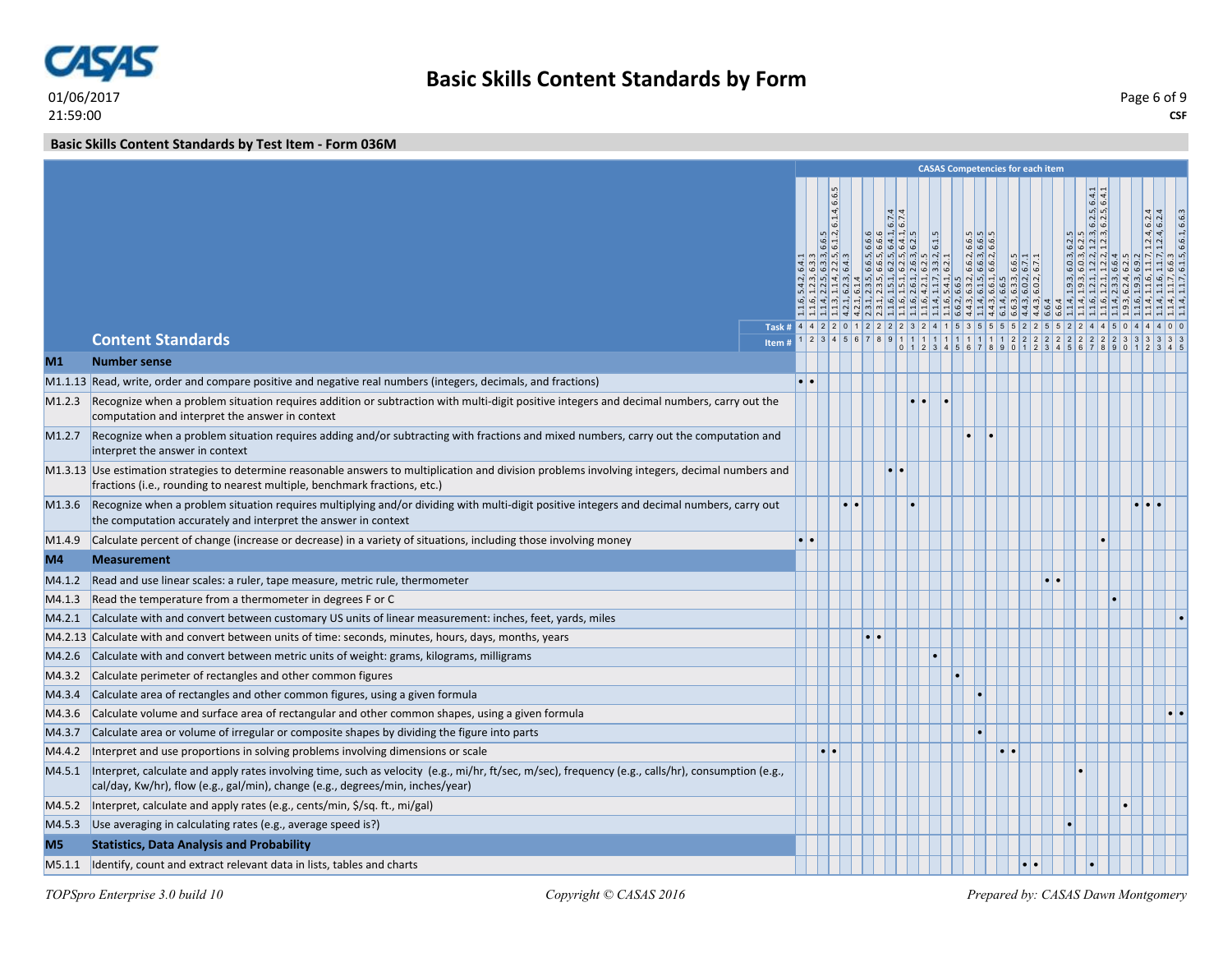

**CSF** Page 6 of 9

**Basic Skills Content Standards by Test Item - Form 036M**

|                    |                                                                                                                                                                                                                                      |                                                                               |                                                                                                                                                                                                                                                                                                                        |  |                                   |       | <b>CASAS Competencies for each item</b>                                                                                                                                                                                                                                                      |                                                                                                                       |                                                   |                 |                |                                                                       |  |                                                  |
|--------------------|--------------------------------------------------------------------------------------------------------------------------------------------------------------------------------------------------------------------------------------|-------------------------------------------------------------------------------|------------------------------------------------------------------------------------------------------------------------------------------------------------------------------------------------------------------------------------------------------------------------------------------------------------------------|--|-----------------------------------|-------|----------------------------------------------------------------------------------------------------------------------------------------------------------------------------------------------------------------------------------------------------------------------------------------------|-----------------------------------------------------------------------------------------------------------------------|---------------------------------------------------|-----------------|----------------|-----------------------------------------------------------------------|--|--------------------------------------------------|
|                    | <b>Content Standards</b>                                                                                                                                                                                                             | Task # 4 4 2 2 0 1 2 2 2 2 3 2 4 1 5 3 5 5 5 6 7 2 2 5 5 2 2 4 4 5 0<br>Item# | 6.1.4, 6.6.5<br>6.6.5<br>$\frac{1}{2}$<br>$\frac{1}{2}$<br>$\frac{1}{2}$<br>$\frac{1}{2}$<br>$\frac{1}{2}$<br>$\frac{1}{2}$<br>$\frac{1}{2}$<br>$\frac{1}{2}$<br>$\frac{1}{2}$<br>$\frac{1}{2}$<br>$\frac{1}{2}$<br>$\frac{1}{2}$<br>$\frac{1}{2}$<br>$\frac{1}{2}$<br>$\frac{1}{2}$<br>$\frac{1}{2}$<br>$\frac{1}{2}$ |  | 6.74<br>5 6 7 8 9 1 1 1 1 1 1 1 1 | 6.1.5 | $\begin{array}{l} 1\  \  \, 1\  \  \, 1\  \  \, 1\  \  \, 1\  \  \, 1\  \  \, 1\  \  \, 1\  \  \, 1\  \  \, 1\  \  \, 1\  \  \, 1\  \  \, 1\  \  \, 1\  \  \, 1\  \  \, 1\  \  \, 1\  \  \, 1\  \  \, 1\  \  \, 1\  \  \, 1\  \  \, 1\  \  \, 1\  \  \, 1\  \  \, 1\  \  \, 1\  \  \, 1\  \$ | $\begin{array}{ c c } \hline 6.3, & 0.2 \\ \hline 6.6.3, & 0.2 \\ \hline 6.6.2, & 0.2 \\ \hline \end{array}$<br>11112 | ∣ ഗ∣<br>$\frac{15}{6}$<br>$  \phi   \phi  $<br> 2 | 2 <br>$\vert$ 2 | $\overline{2}$ | 64.7<br>$6.2.5$ , 6.2.5,<br>$\frac{6.2.5}{6.2.3}$<br>$\frac{1}{12.3}$ |  | $1.2.4, 6.2.4$<br>$1.2.4, 6.2.4$<br>6.6.1, 6.6.3 |
| M1                 | <b>Number sense</b>                                                                                                                                                                                                                  |                                                                               |                                                                                                                                                                                                                                                                                                                        |  |                                   |       | 0 1 2 3 4 5 6 7 8 9 0 1 2 3 4 5 6 7 8                                                                                                                                                                                                                                                        |                                                                                                                       |                                                   |                 |                |                                                                       |  |                                                  |
|                    | M1.1.13 Read, write, order and compare positive and negative real numbers (integers, decimals, and fractions)                                                                                                                        |                                                                               |                                                                                                                                                                                                                                                                                                                        |  |                                   |       |                                                                                                                                                                                                                                                                                              |                                                                                                                       |                                                   |                 |                |                                                                       |  |                                                  |
| M1.2.3             | Recognize when a problem situation requires addition or subtraction with multi-digit positive integers and decimal numbers, carry out the<br>computation and interpret the answer in context                                         |                                                                               |                                                                                                                                                                                                                                                                                                                        |  |                                   |       |                                                                                                                                                                                                                                                                                              |                                                                                                                       |                                                   |                 |                |                                                                       |  |                                                  |
| M <sub>1.2.7</sub> | Recognize when a problem situation requires adding and/or subtracting with fractions and mixed numbers, carry out the computation and<br>interpret the answer in context                                                             |                                                                               |                                                                                                                                                                                                                                                                                                                        |  |                                   |       |                                                                                                                                                                                                                                                                                              |                                                                                                                       |                                                   |                 |                |                                                                       |  |                                                  |
|                    | M1.3.13 Use estimation strategies to determine reasonable answers to multiplication and division problems involving integers, decimal numbers and<br>fractions (i.e., rounding to nearest multiple, benchmark fractions, etc.)       |                                                                               |                                                                                                                                                                                                                                                                                                                        |  |                                   |       |                                                                                                                                                                                                                                                                                              |                                                                                                                       |                                                   |                 |                |                                                                       |  |                                                  |
| M1.3.6             | Recognize when a problem situation requires multiplying and/or dividing with multi-digit positive integers and decimal numbers, carry out<br>the computation accurately and interpret the answer in context                          |                                                                               |                                                                                                                                                                                                                                                                                                                        |  |                                   |       |                                                                                                                                                                                                                                                                                              |                                                                                                                       |                                                   |                 |                |                                                                       |  |                                                  |
| M <sub>1.4.9</sub> | Calculate percent of change (increase or decrease) in a variety of situations, including those involving money                                                                                                                       |                                                                               |                                                                                                                                                                                                                                                                                                                        |  |                                   |       |                                                                                                                                                                                                                                                                                              |                                                                                                                       |                                                   |                 |                |                                                                       |  |                                                  |
| M4                 | <b>Measurement</b>                                                                                                                                                                                                                   |                                                                               |                                                                                                                                                                                                                                                                                                                        |  |                                   |       |                                                                                                                                                                                                                                                                                              |                                                                                                                       |                                                   |                 |                |                                                                       |  |                                                  |
| M4.1.2             | Read and use linear scales: a ruler, tape measure, metric rule, thermometer                                                                                                                                                          |                                                                               |                                                                                                                                                                                                                                                                                                                        |  |                                   |       |                                                                                                                                                                                                                                                                                              |                                                                                                                       |                                                   |                 |                |                                                                       |  |                                                  |
| M4.1.3             | Read the temperature from a thermometer in degrees F or C                                                                                                                                                                            |                                                                               |                                                                                                                                                                                                                                                                                                                        |  |                                   |       |                                                                                                                                                                                                                                                                                              |                                                                                                                       |                                                   |                 |                |                                                                       |  |                                                  |
| M4.2.1             | Calculate with and convert between customary US units of linear measurement: inches, feet, yards, miles                                                                                                                              |                                                                               |                                                                                                                                                                                                                                                                                                                        |  |                                   |       |                                                                                                                                                                                                                                                                                              |                                                                                                                       |                                                   |                 |                |                                                                       |  |                                                  |
|                    | M4.2.13 Calculate with and convert between units of time: seconds, minutes, hours, days, months, years                                                                                                                               |                                                                               |                                                                                                                                                                                                                                                                                                                        |  |                                   |       |                                                                                                                                                                                                                                                                                              |                                                                                                                       |                                                   |                 |                |                                                                       |  |                                                  |
| M4.2.6             | Calculate with and convert between metric units of weight: grams, kilograms, milligrams                                                                                                                                              |                                                                               |                                                                                                                                                                                                                                                                                                                        |  |                                   |       |                                                                                                                                                                                                                                                                                              |                                                                                                                       |                                                   |                 |                |                                                                       |  |                                                  |
| M4.3.2             | Calculate perimeter of rectangles and other common figures                                                                                                                                                                           |                                                                               |                                                                                                                                                                                                                                                                                                                        |  |                                   |       |                                                                                                                                                                                                                                                                                              |                                                                                                                       |                                                   |                 |                |                                                                       |  |                                                  |
| M4.3.4             | Calculate area of rectangles and other common figures, using a given formula                                                                                                                                                         |                                                                               |                                                                                                                                                                                                                                                                                                                        |  |                                   |       |                                                                                                                                                                                                                                                                                              |                                                                                                                       |                                                   |                 |                |                                                                       |  |                                                  |
| M4.3.6             | Calculate volume and surface area of rectangular and other common shapes, using a given formula                                                                                                                                      |                                                                               |                                                                                                                                                                                                                                                                                                                        |  |                                   |       |                                                                                                                                                                                                                                                                                              |                                                                                                                       |                                                   |                 |                |                                                                       |  | $\bullet$ $\bullet$                              |
| M4.3.7             | Calculate area or volume of irregular or composite shapes by dividing the figure into parts                                                                                                                                          |                                                                               |                                                                                                                                                                                                                                                                                                                        |  |                                   |       |                                                                                                                                                                                                                                                                                              |                                                                                                                       |                                                   |                 |                |                                                                       |  |                                                  |
| M4.4.2             | Interpret and use proportions in solving problems involving dimensions or scale                                                                                                                                                      |                                                                               | le le                                                                                                                                                                                                                                                                                                                  |  |                                   |       |                                                                                                                                                                                                                                                                                              |                                                                                                                       | $\bullet$                                         |                 |                |                                                                       |  |                                                  |
| M4.5.1             | Interpret, calculate and apply rates involving time, such as velocity (e.g., mi/hr, ft/sec, m/sec), frequency (e.g., calls/hr), consumption (e.g.,<br>cal/day, Kw/hr), flow (e.g., gal/min), change (e.g., degrees/min, inches/year) |                                                                               |                                                                                                                                                                                                                                                                                                                        |  |                                   |       |                                                                                                                                                                                                                                                                                              |                                                                                                                       |                                                   |                 |                |                                                                       |  |                                                  |
| M4.5.2             | Interpret, calculate and apply rates (e.g., cents/min, \$/sq. ft., mi/gal)                                                                                                                                                           |                                                                               |                                                                                                                                                                                                                                                                                                                        |  |                                   |       |                                                                                                                                                                                                                                                                                              |                                                                                                                       |                                                   |                 |                |                                                                       |  |                                                  |
| M4.5.3             | Use averaging in calculating rates (e.g., average speed is?)                                                                                                                                                                         |                                                                               |                                                                                                                                                                                                                                                                                                                        |  |                                   |       |                                                                                                                                                                                                                                                                                              |                                                                                                                       |                                                   |                 |                |                                                                       |  |                                                  |
| M <sub>5</sub>     | <b>Statistics, Data Analysis and Probability</b>                                                                                                                                                                                     |                                                                               |                                                                                                                                                                                                                                                                                                                        |  |                                   |       |                                                                                                                                                                                                                                                                                              |                                                                                                                       |                                                   |                 |                |                                                                       |  |                                                  |
|                    | M5.1.1 Identify, count and extract relevant data in lists, tables and charts                                                                                                                                                         |                                                                               |                                                                                                                                                                                                                                                                                                                        |  |                                   |       |                                                                                                                                                                                                                                                                                              |                                                                                                                       |                                                   |                 |                |                                                                       |  |                                                  |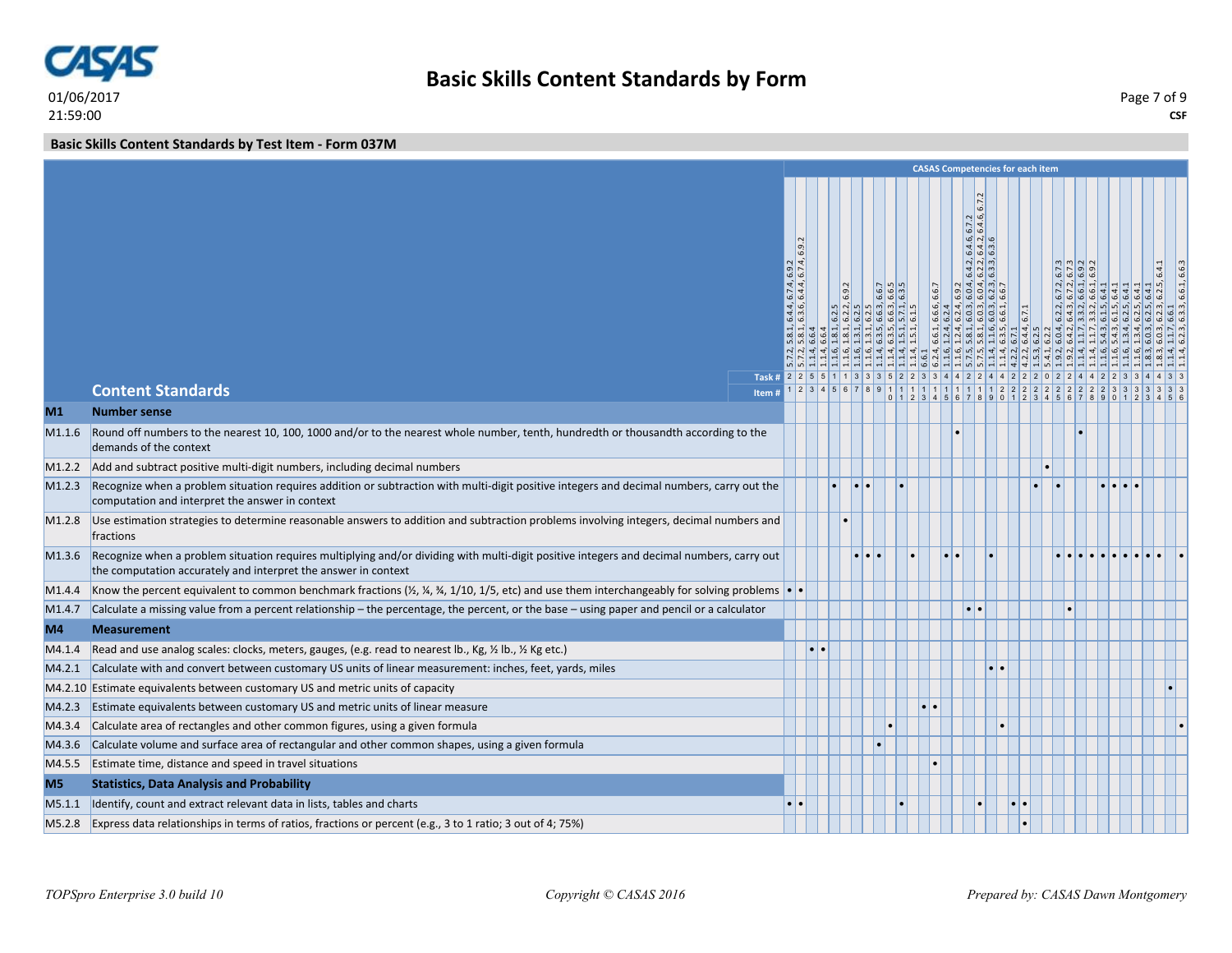

**Basic Skills Content Standards by Test Item - Form 037M**

|                    |                                                                                                                                                                                                             |                                                                                             |           |       |  |       |                                                                                                                                                                                                                                                                                                                                                                                                                                                                                                                                      |           |       | <b>CASAS Competencies for each item</b> |                                                                                                                                                |  |    |  |
|--------------------|-------------------------------------------------------------------------------------------------------------------------------------------------------------------------------------------------------------|---------------------------------------------------------------------------------------------|-----------|-------|--|-------|--------------------------------------------------------------------------------------------------------------------------------------------------------------------------------------------------------------------------------------------------------------------------------------------------------------------------------------------------------------------------------------------------------------------------------------------------------------------------------------------------------------------------------------|-----------|-------|-----------------------------------------|------------------------------------------------------------------------------------------------------------------------------------------------|--|----|--|
|                    |                                                                                                                                                                                                             | 6.9.<br>$\frac{1}{4}$<br>ا قا اف<br>.74, 4.4<br>ا قا ا<br>$\frac{4.4}{3.6}$<br>$  \omega  $ |           | 6.9.2 |  | 6.6.7 | 6.7.2<br>ق اب<br>6.7.64<br>$\omega$ $\sim$ $\omega$<br>$\ddot{\omega}$ $\ddot{\omega}$ $\ddot{\omega}$<br>$\frac{1}{2}$ $\frac{1}{2}$ $\frac{1}{2}$<br>$  \phi   \phi   \phi  $<br>$\left  \frac{3}{9} \right  \left  \frac{4}{9} \right  \left  \frac{4}{9} \right  \left  \frac{3}{10} \right  \left  \frac{1}{10} \right $<br>$  \phi   \phi   \phi   \phi$<br>$\begin{array}{l} 6.6.1, \, 6.6.5,\\ 1.2.4, \, 6.2.4\\ 1.2.4, \, 6.2.4,\\ 5.8.1, \, 6.0.3,\\ 5.8.1, \, 6.0.3,\\ 1.1.6, \, 6.0.3,\\ 6.3.5, \, 6.6.1,\\ \end{array}$ |           | 6.7.1 |                                         | $\frac{1}{2}$ $\frac{1}{2}$ $\frac{1}{2}$ $\frac{1}{2}$ $\frac{1}{2}$ $\frac{1}{2}$ $\frac{1}{2}$ $\frac{1}{2}$ $\frac{1}{2}$<br>$\frac{1}{2}$ |  | 64 |  |
|                    | Task # 2 2 5 5 1 1 3 3 3 5 2 2 3 3 4 4 2 2 4 4 2 2 2 0 2 2 4 4<br><b>Content Standards</b><br>Item                                                                                                          |                                                                                             |           |       |  |       |                                                                                                                                                                                                                                                                                                                                                                                                                                                                                                                                      |           |       |                                         |                                                                                                                                                |  |    |  |
| M1                 | <b>Number sense</b>                                                                                                                                                                                         |                                                                                             |           |       |  |       |                                                                                                                                                                                                                                                                                                                                                                                                                                                                                                                                      |           |       |                                         |                                                                                                                                                |  |    |  |
| M <sub>1.1.6</sub> | Round off numbers to the nearest 10, 100, 1000 and/or to the nearest whole number, tenth, hundredth or thousandth according to the<br>demands of the context                                                |                                                                                             |           |       |  |       |                                                                                                                                                                                                                                                                                                                                                                                                                                                                                                                                      |           |       |                                         |                                                                                                                                                |  |    |  |
| M1.2.2             | Add and subtract positive multi-digit numbers, including decimal numbers                                                                                                                                    |                                                                                             |           |       |  |       |                                                                                                                                                                                                                                                                                                                                                                                                                                                                                                                                      |           |       |                                         |                                                                                                                                                |  |    |  |
| M1.2.3             | Recognize when a problem situation requires addition or subtraction with multi-digit positive integers and decimal numbers, carry out the<br>computation and interpret the answer in context                |                                                                                             |           |       |  |       |                                                                                                                                                                                                                                                                                                                                                                                                                                                                                                                                      |           |       |                                         |                                                                                                                                                |  |    |  |
| M1.2.8             | Use estimation strategies to determine reasonable answers to addition and subtraction problems involving integers, decimal numbers and<br>fractions                                                         |                                                                                             |           |       |  |       |                                                                                                                                                                                                                                                                                                                                                                                                                                                                                                                                      |           |       |                                         |                                                                                                                                                |  |    |  |
| M1.3.6             | Recognize when a problem situation requires multiplying and/or dividing with multi-digit positive integers and decimal numbers, carry out<br>the computation accurately and interpret the answer in context |                                                                                             |           |       |  |       |                                                                                                                                                                                                                                                                                                                                                                                                                                                                                                                                      |           |       |                                         |                                                                                                                                                |  |    |  |
| M <sub>1.4.4</sub> | Know the percent equivalent to common benchmark fractions ( $\frac{1}{2}$ , $\frac{1}{4}$ , $\frac{3}{4}$ , 1/10, 1/5, etc) and use them interchangeably for solving problems                               |                                                                                             |           |       |  |       |                                                                                                                                                                                                                                                                                                                                                                                                                                                                                                                                      |           |       |                                         |                                                                                                                                                |  |    |  |
| M <sub>1.4.7</sub> | Calculate a missing value from a percent relationship – the percentage, the percent, or the base – using paper and pencil or a calculator                                                                   |                                                                                             |           |       |  |       |                                                                                                                                                                                                                                                                                                                                                                                                                                                                                                                                      |           |       |                                         |                                                                                                                                                |  |    |  |
| M4                 | <b>Measurement</b>                                                                                                                                                                                          |                                                                                             |           |       |  |       |                                                                                                                                                                                                                                                                                                                                                                                                                                                                                                                                      |           |       |                                         |                                                                                                                                                |  |    |  |
| M4.1.4             | Read and use analog scales: clocks, meters, gauges, (e.g. read to nearest lb., Kg, 1/2 lb., 1/2 Kg etc.)                                                                                                    |                                                                                             | $\bullet$ |       |  |       |                                                                                                                                                                                                                                                                                                                                                                                                                                                                                                                                      |           |       |                                         |                                                                                                                                                |  |    |  |
| MA.2.1             | Calculate with and convert between customary US units of linear measurement: inches, feet, yards, miles                                                                                                     |                                                                                             |           |       |  |       |                                                                                                                                                                                                                                                                                                                                                                                                                                                                                                                                      |           |       |                                         |                                                                                                                                                |  |    |  |
|                    | M4.2.10 Estimate equivalents between customary US and metric units of capacity                                                                                                                              |                                                                                             |           |       |  |       |                                                                                                                                                                                                                                                                                                                                                                                                                                                                                                                                      |           |       |                                         |                                                                                                                                                |  |    |  |
| M4.2.3             | Estimate equivalents between customary US and metric units of linear measure                                                                                                                                |                                                                                             |           |       |  |       |                                                                                                                                                                                                                                                                                                                                                                                                                                                                                                                                      |           |       |                                         |                                                                                                                                                |  |    |  |
| M4.3.4             | Calculate area of rectangles and other common figures, using a given formula                                                                                                                                |                                                                                             |           |       |  |       |                                                                                                                                                                                                                                                                                                                                                                                                                                                                                                                                      | $\bullet$ |       |                                         |                                                                                                                                                |  |    |  |
| M4.3.6             | Calculate volume and surface area of rectangular and other common shapes, using a given formula                                                                                                             |                                                                                             |           |       |  |       |                                                                                                                                                                                                                                                                                                                                                                                                                                                                                                                                      |           |       |                                         |                                                                                                                                                |  |    |  |
| M4.5.5             | Estimate time, distance and speed in travel situations                                                                                                                                                      |                                                                                             |           |       |  |       |                                                                                                                                                                                                                                                                                                                                                                                                                                                                                                                                      |           |       |                                         |                                                                                                                                                |  |    |  |
| M <sub>5</sub>     | <b>Statistics, Data Analysis and Probability</b>                                                                                                                                                            |                                                                                             |           |       |  |       |                                                                                                                                                                                                                                                                                                                                                                                                                                                                                                                                      |           |       |                                         |                                                                                                                                                |  |    |  |
| M5.1.1             | Identify, count and extract relevant data in lists, tables and charts                                                                                                                                       |                                                                                             |           |       |  |       |                                                                                                                                                                                                                                                                                                                                                                                                                                                                                                                                      |           |       |                                         |                                                                                                                                                |  |    |  |
|                    | M5.2.8 Express data relationships in terms of ratios, fractions or percent (e.g., 3 to 1 ratio; 3 out of 4; 75%)                                                                                            |                                                                                             |           |       |  |       |                                                                                                                                                                                                                                                                                                                                                                                                                                                                                                                                      |           |       |                                         |                                                                                                                                                |  |    |  |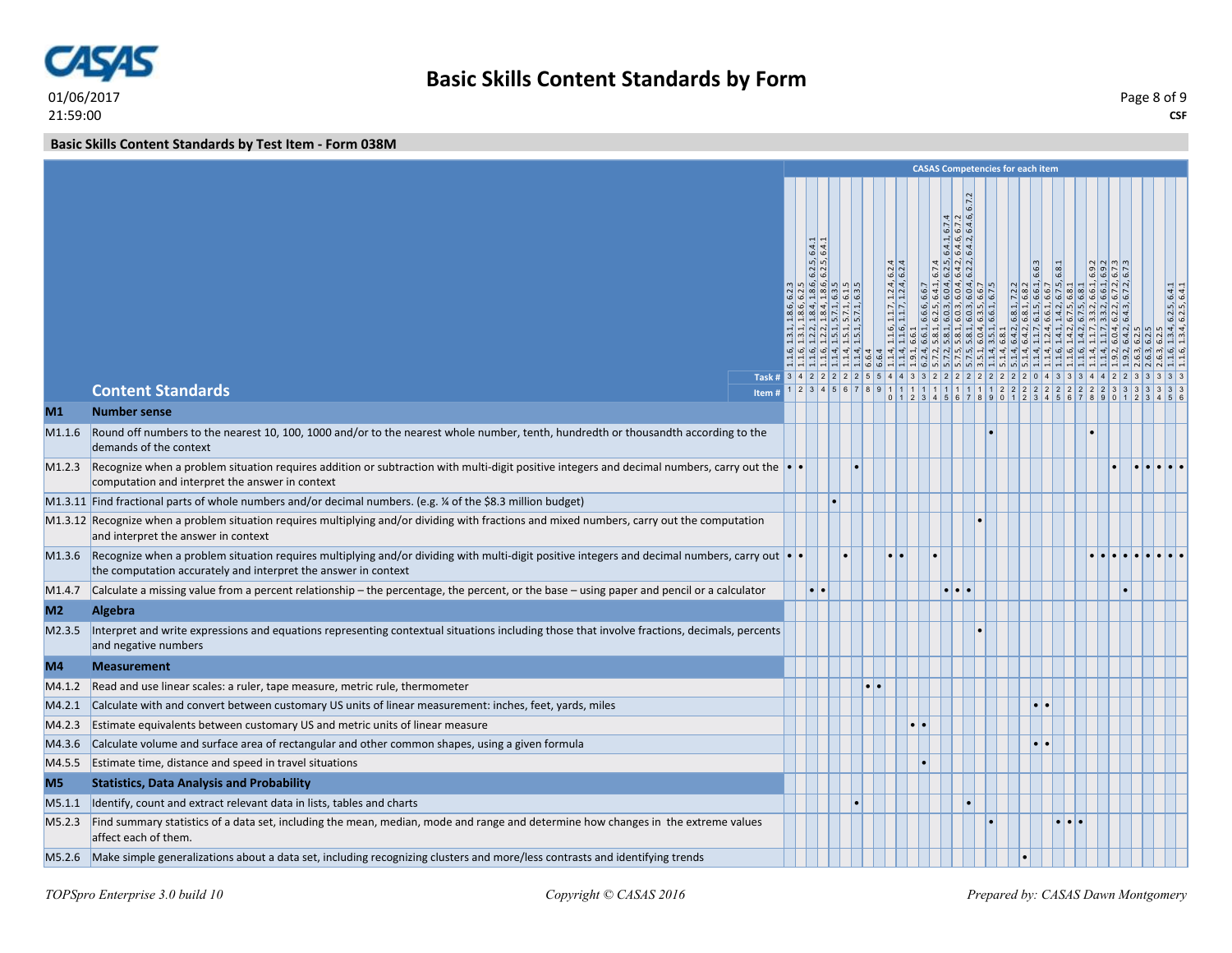

**Basic Skills Content Standards by Test Item - Form 038M**

|                    |                                                                                                                                                                                                                            |                                                                                    |                                                                                                                                                                                                                                                                                                                                                                                                             |                                                          |                  |                                              |                  |                                                                                                                                        |       | <b>CASAS Competencies for each item</b>                                                                                                                                                                                                                           |                 |  |  |                                               |
|--------------------|----------------------------------------------------------------------------------------------------------------------------------------------------------------------------------------------------------------------------|------------------------------------------------------------------------------------|-------------------------------------------------------------------------------------------------------------------------------------------------------------------------------------------------------------------------------------------------------------------------------------------------------------------------------------------------------------------------------------------------------------|----------------------------------------------------------|------------------|----------------------------------------------|------------------|----------------------------------------------------------------------------------------------------------------------------------------|-------|-------------------------------------------------------------------------------------------------------------------------------------------------------------------------------------------------------------------------------------------------------------------|-----------------|--|--|-----------------------------------------------|
|                    |                                                                                                                                                                                                                            | Task # 3 4 2 2 2 2 2 2 5 5 4 4 3 3 2 2 2 2 2 2 2 2 2 2 2 0 4 3 3 3 4 4 2 2 3 3 3 3 | 6.4.1<br>, 6.2.5<br>, 1.8.6, 6.2.5, 6<br>, 6.3.5<br>, 6.1.5<br>, 6.3.5<br>$\begin{array}{c c} 1 & 1 & 1 \\ 1 & 1 & 1 \\ 1 & 1 & 1 \\ 1 & 1 & 1 \\ 1 & 1 & 1 \\ 1 & 1 & 1 \\ 1 & 1 & 1 \\ 1 & 1 & 1 \\ 1 & 1 & 1 \\ 1 & 1 & 1 \\ 1 & 1 & 1 \\ 1 & 1 & 1 \\ 1 & 1 & 1 \\ 1 & 1 & 1 \\ 1 & 1 & 1 \\ 1 & 1 & 1 & 1 \\ 1 & 1 & 1 & 1 \\ 1 & 1 & 1 & 1 \\ 1 & 1 & 1 & 1 \\ 1 & 1 & 1 & 1 & 1 \\ 1 & 1 & 1 & 1 & $ | $ \frac{1}{2}$ $\frac{1}{2}$ $\frac{1}{2}$ $\frac{1}{2}$ |                  | $, 1.1.7, 1.2.4, 6.2.4, 1.1.7, 1.2.4, 6.2.4$ |                  | 67.64<br>ন $ \mathfrak{G} $ $\alpha$<br>$\frac{6}{4}$<br>$\begin{array}{c cc}\n & 6.7.4 \\ & 6.2.5 \\ & 6.4.2 \\ & 6.4.2\n\end{array}$ | 6.7.2 | $\begin{smallmatrix} &1.841, &7.2.2\\ &6.841, &6.83\\ &1.641, &6.65\\ &1.442, &6.75, &6.84\\ &1.442, &6.75, &6.84\\ &1.67.75, &6.841\\ &1.67.75, &6.841\\ &1.67.75, &6.841\\ &1.67.84, &6.61, &6.82\\ \end{smallmatrix}$<br><u> 4 8 8 8 8 8 8 8 8 9 4 9 8 9 9</u> |                 |  |  | $6.2.5, 6.4.1$<br>$6.2.5, 6.4.1$<br>एं   4] 4 |
|                    | <b>Content Standards</b>                                                                                                                                                                                                   | Item #                                                                             |                                                                                                                                                                                                                                                                                                                                                                                                             |                                                          |                  |                                              |                  |                                                                                                                                        |       | $01234567890123456789012345$                                                                                                                                                                                                                                      |                 |  |  |                                               |
| M1                 | <b>Number sense</b>                                                                                                                                                                                                        |                                                                                    |                                                                                                                                                                                                                                                                                                                                                                                                             |                                                          |                  |                                              |                  |                                                                                                                                        |       |                                                                                                                                                                                                                                                                   |                 |  |  |                                               |
|                    | M1.1.6 Round off numbers to the nearest 10, 100, 1000 and/or to the nearest whole number, tenth, hundredth or thousandth according to the<br>demands of the context                                                        |                                                                                    |                                                                                                                                                                                                                                                                                                                                                                                                             |                                                          |                  |                                              |                  |                                                                                                                                        |       |                                                                                                                                                                                                                                                                   |                 |  |  |                                               |
|                    | M1.2.3 Recognize when a problem situation requires addition or subtraction with multi-digit positive integers and decimal numbers, carry out the<br>computation and interpret the answer in context                        |                                                                                    |                                                                                                                                                                                                                                                                                                                                                                                                             |                                                          |                  |                                              |                  |                                                                                                                                        |       |                                                                                                                                                                                                                                                                   |                 |  |  |                                               |
|                    | M1.3.11 Find fractional parts of whole numbers and/or decimal numbers. (e.g. % of the \$8.3 million budget)                                                                                                                |                                                                                    |                                                                                                                                                                                                                                                                                                                                                                                                             |                                                          |                  |                                              |                  |                                                                                                                                        |       |                                                                                                                                                                                                                                                                   |                 |  |  |                                               |
|                    | M1.3.12 Recognize when a problem situation requires multiplying and/or dividing with fractions and mixed numbers, carry out the computation<br>and interpret the answer in context                                         |                                                                                    |                                                                                                                                                                                                                                                                                                                                                                                                             |                                                          |                  |                                              |                  |                                                                                                                                        |       |                                                                                                                                                                                                                                                                   |                 |  |  |                                               |
|                    | M1.3.6 Recognize when a problem situation requires multiplying and/or dividing with multi-digit positive integers and decimal numbers, carry out $\cdot$<br>the computation accurately and interpret the answer in context |                                                                                    |                                                                                                                                                                                                                                                                                                                                                                                                             |                                                          |                  |                                              |                  |                                                                                                                                        |       |                                                                                                                                                                                                                                                                   |                 |  |  |                                               |
| M <sub>1.4.7</sub> | Calculate a missing value from a percent relationship – the percentage, the percent, or the base – using paper and pencil or a calculator                                                                                  |                                                                                    | $\cdot \cdot$                                                                                                                                                                                                                                                                                                                                                                                               |                                                          |                  |                                              |                  |                                                                                                                                        |       |                                                                                                                                                                                                                                                                   |                 |  |  |                                               |
| M <sub>2</sub>     | Algebra                                                                                                                                                                                                                    |                                                                                    |                                                                                                                                                                                                                                                                                                                                                                                                             |                                                          |                  |                                              |                  |                                                                                                                                        |       |                                                                                                                                                                                                                                                                   |                 |  |  |                                               |
|                    | M2.3.5 Interpret and write expressions and equations representing contextual situations including those that involve fractions, decimals, percents<br>and negative numbers                                                 |                                                                                    |                                                                                                                                                                                                                                                                                                                                                                                                             |                                                          |                  |                                              |                  |                                                                                                                                        |       |                                                                                                                                                                                                                                                                   |                 |  |  |                                               |
| M4                 | <b>Measurement</b>                                                                                                                                                                                                         |                                                                                    |                                                                                                                                                                                                                                                                                                                                                                                                             |                                                          |                  |                                              |                  |                                                                                                                                        |       |                                                                                                                                                                                                                                                                   |                 |  |  |                                               |
|                    | M4.1.2 Read and use linear scales: a ruler, tape measure, metric rule, thermometer                                                                                                                                         |                                                                                    |                                                                                                                                                                                                                                                                                                                                                                                                             |                                                          | $\bullet\bullet$ |                                              |                  |                                                                                                                                        |       |                                                                                                                                                                                                                                                                   |                 |  |  |                                               |
| M4.2.1             | Calculate with and convert between customary US units of linear measurement: inches, feet, yards, miles                                                                                                                    |                                                                                    |                                                                                                                                                                                                                                                                                                                                                                                                             |                                                          |                  |                                              |                  |                                                                                                                                        |       | $\bullet\bullet$                                                                                                                                                                                                                                                  |                 |  |  |                                               |
| M4.2.3             | Estimate equivalents between customary US and metric units of linear measure                                                                                                                                               |                                                                                    |                                                                                                                                                                                                                                                                                                                                                                                                             |                                                          |                  |                                              | $\bullet\bullet$ |                                                                                                                                        |       |                                                                                                                                                                                                                                                                   |                 |  |  |                                               |
| M4.3.6             | Calculate volume and surface area of rectangular and other common shapes, using a given formula                                                                                                                            |                                                                                    |                                                                                                                                                                                                                                                                                                                                                                                                             |                                                          |                  |                                              |                  |                                                                                                                                        |       | $\bullet\bullet$                                                                                                                                                                                                                                                  |                 |  |  |                                               |
|                    | M4.5.5 Estimate time, distance and speed in travel situations                                                                                                                                                              |                                                                                    |                                                                                                                                                                                                                                                                                                                                                                                                             |                                                          |                  |                                              |                  |                                                                                                                                        |       |                                                                                                                                                                                                                                                                   |                 |  |  |                                               |
| M <sub>5</sub>     | <b>Statistics, Data Analysis and Probability</b>                                                                                                                                                                           |                                                                                    |                                                                                                                                                                                                                                                                                                                                                                                                             |                                                          |                  |                                              |                  |                                                                                                                                        |       |                                                                                                                                                                                                                                                                   |                 |  |  |                                               |
| M5.1.1             | Identify, count and extract relevant data in lists, tables and charts                                                                                                                                                      |                                                                                    |                                                                                                                                                                                                                                                                                                                                                                                                             |                                                          |                  |                                              |                  |                                                                                                                                        |       |                                                                                                                                                                                                                                                                   |                 |  |  |                                               |
|                    | M5.2.3 Find summary statistics of a data set, including the mean, median, mode and range and determine how changes in the extreme values<br>affect each of them.                                                           |                                                                                    |                                                                                                                                                                                                                                                                                                                                                                                                             |                                                          |                  |                                              |                  |                                                                                                                                        |       |                                                                                                                                                                                                                                                                   | $\cdot$ $\cdot$ |  |  |                                               |
|                    | M5.2.6 Make simple generalizations about a data set, including recognizing clusters and more/less contrasts and identifying trends                                                                                         |                                                                                    |                                                                                                                                                                                                                                                                                                                                                                                                             |                                                          |                  |                                              |                  |                                                                                                                                        |       |                                                                                                                                                                                                                                                                   |                 |  |  |                                               |